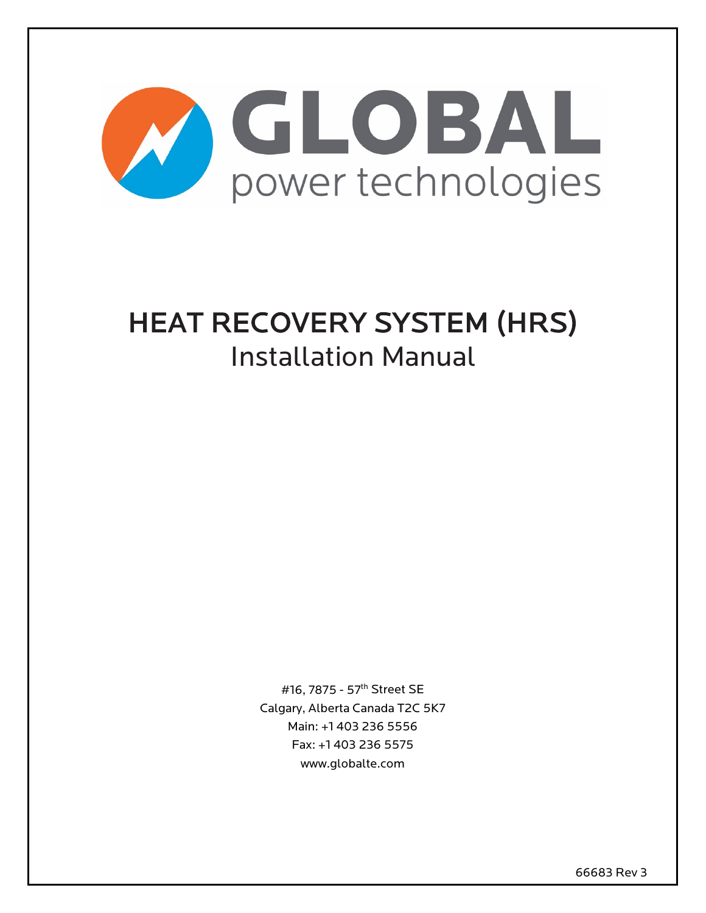

# HEAT RECOVERY SYSTEM (HRS) Installation Manual

#16, 7875 - 57th Street SE Calgary, Alberta Canada T2C 5K7 Main: +1 403 236 5556 Fax: +1 403 236 5575 www.globalte.com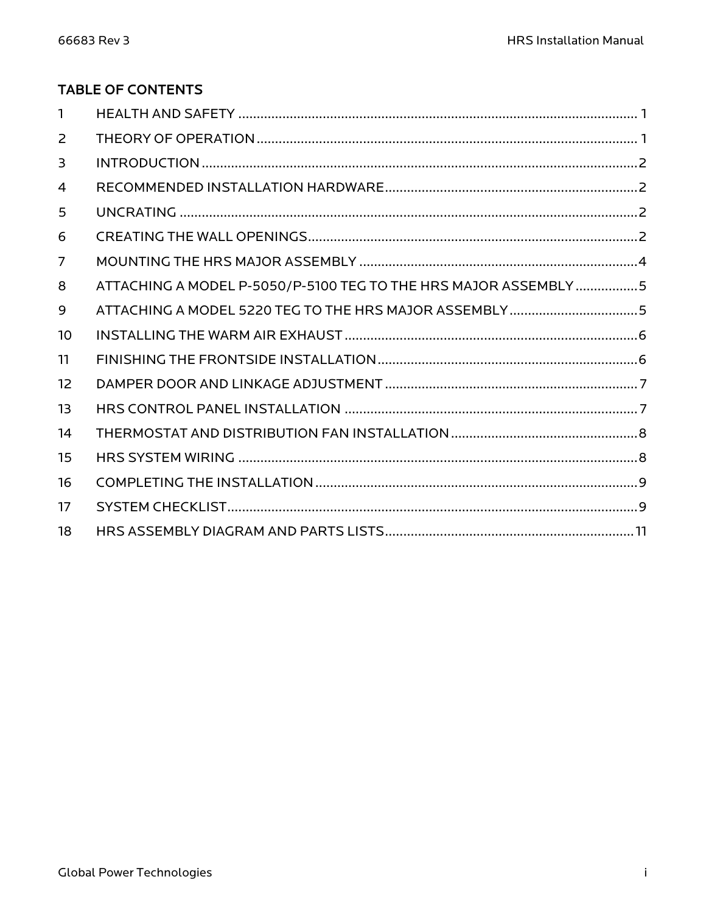# **TABLE OF CONTENTS**

| $\mathbf{1}$   |                                                                 |
|----------------|-----------------------------------------------------------------|
| 2              |                                                                 |
| 3              |                                                                 |
| $\overline{4}$ |                                                                 |
| 5              |                                                                 |
| 6              |                                                                 |
| $\overline{7}$ |                                                                 |
| 8              | ATTACHING A MODEL P-5050/P-5100 TEG TO THE HRS MAJOR ASSEMBLY 5 |
| 9              | ATTACHING A MODEL 5220 TEG TO THE HRS MAJOR ASSEMBLY5           |
| 10             |                                                                 |
| 11             |                                                                 |
| 12             |                                                                 |
| 13             |                                                                 |
| 14             |                                                                 |
| 15             |                                                                 |
| 16             |                                                                 |
| 17             |                                                                 |
| 18             |                                                                 |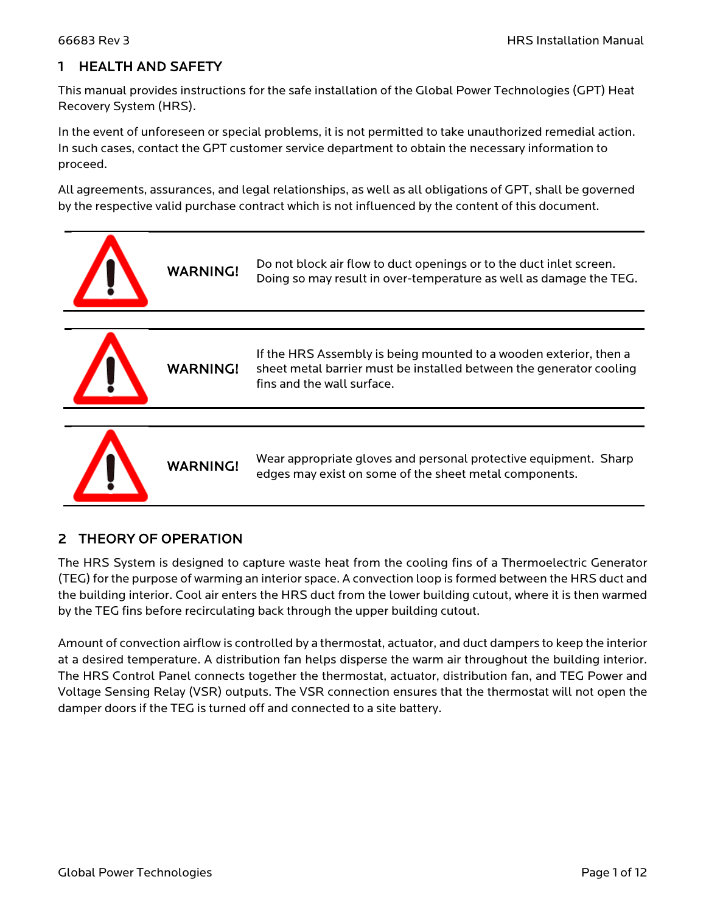# 1 HEALTH AND SAFETY

This manual provides instructions for the safe installation of the Global Power Technologies (GPT) Heat Recovery System (HRS).

In the event of unforeseen or special problems, it is not permitted to take unauthorized remedial action. In such cases, contact the GPT customer service department to obtain the necessary information to proceed.

All agreements, assurances, and legal relationships, as well as all obligations of GPT, shall be governed by the respective valid purchase contract which is not influenced by the content of this document.



# 2 THEORY OF OPERATION

The HRS System is designed to capture waste heat from the cooling fins of a Thermoelectric Generator (TEG) for the purpose of warming an interior space. A convection loop is formed between the HRS duct and the building interior. Cool air enters the HRS duct from the lower building cutout, where it is then warmed by the TEG fins before recirculating back through the upper building cutout.

Amount of convection airflow is controlled by a thermostat, actuator, and duct dampers to keep the interior at a desired temperature. A distribution fan helps disperse the warm air throughout the building interior. The HRS Control Panel connects together the thermostat, actuator, distribution fan, and TEG Power and Voltage Sensing Relay (VSR) outputs. The VSR connection ensures that the thermostat will not open the damper doors if the TEG is turned off and connected to a site battery.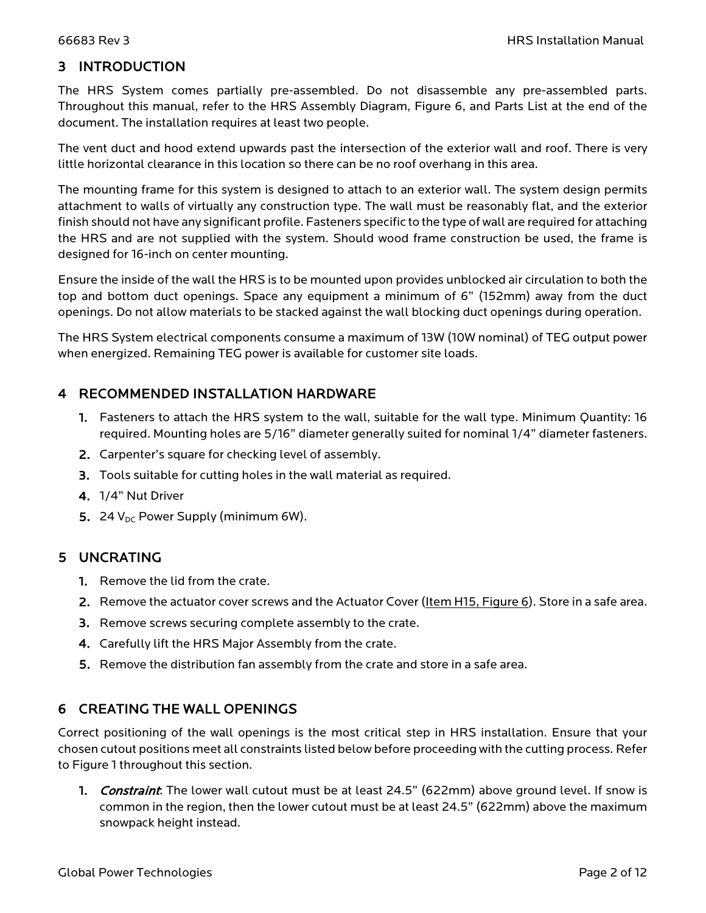# 3 INTRODUCTION

The HRS System comes partially pre-assembled. Do not disassemble any pre-assembled parts. Throughout this manual, refer to the HRS Assembly Diagram, [Figure 6,](#page-12-0) and Parts List at the end of the document. The installation requires at least two people.

The vent duct and hood extend upwards past the intersection of the exterior wall and roof. There is very little horizontal clearance in this location so there can be no roof overhang in this area.

The mounting frame for this system is designed to attach to an exterior wall. The system design permits attachment to walls of virtually any construction type. The wall must be reasonably flat, and the exterior finish should not have any significant profile. Fasteners specific to the type of wall are required for attaching the HRS and are not supplied with the system. Should wood frame construction be used, the frame is designed for 16-inch on center mounting.

Ensure the inside of the wall the HRS is to be mounted upon provides unblocked air circulation to both the top and bottom duct openings. Space any equipment a minimum of 6" (152mm) away from the duct openings. Do not allow materials to be stacked against the wall blocking duct openings during operation.

The HRS System electrical components consume a maximum of 13W (10W nominal) of TEG output power when energized. Remaining TEG power is available for customer site loads.

#### 4 RECOMMENDED INSTALLATION HARDWARE

- 1. Fasteners to attach the HRS system to the wall, suitable for the wall type. Minimum Quantity: 16 required. Mounting holes are 5/16" diameter generally suited for nominal 1/4" diameter fasteners.
- 2. Carpenter's square for checking level of assembly.
- 3. Tools suitable for cutting holes in the wall material as required.
- 4. 1/4" Nut Driver
- 5. 24  $V_{DC}$  Power Supply (minimum 6W).

#### 5 UNCRATING

- 1. Remove the lid from the crate.
- 2. Remove the actuator cover screws and the Actuator Cover (Item H15, [Figure 6\)](#page-12-0). Store in a safe area.
- 3. Remove screws securing complete assembly to the crate.
- 4. Carefully lift the HRS Major Assembly from the crate.
- 5. Remove the distribution fan assembly from the crate and store in a safe area.

### 6 CREATING THE WALL OPENINGS

Correct positioning of the wall openings is the most critical step in HRS installation. Ensure that your chosen cutout positions meet all constraints listed below before proceeding with the cutting process. Refer t[o Figure 1](#page-4-0) throughout this section.

**1.** Constraint: The lower wall cutout must be at least 24.5" (622mm) above ground level. If snow is common in the region, then the lower cutout must be at least 24.5" (622mm) above the maximum snowpack height instead.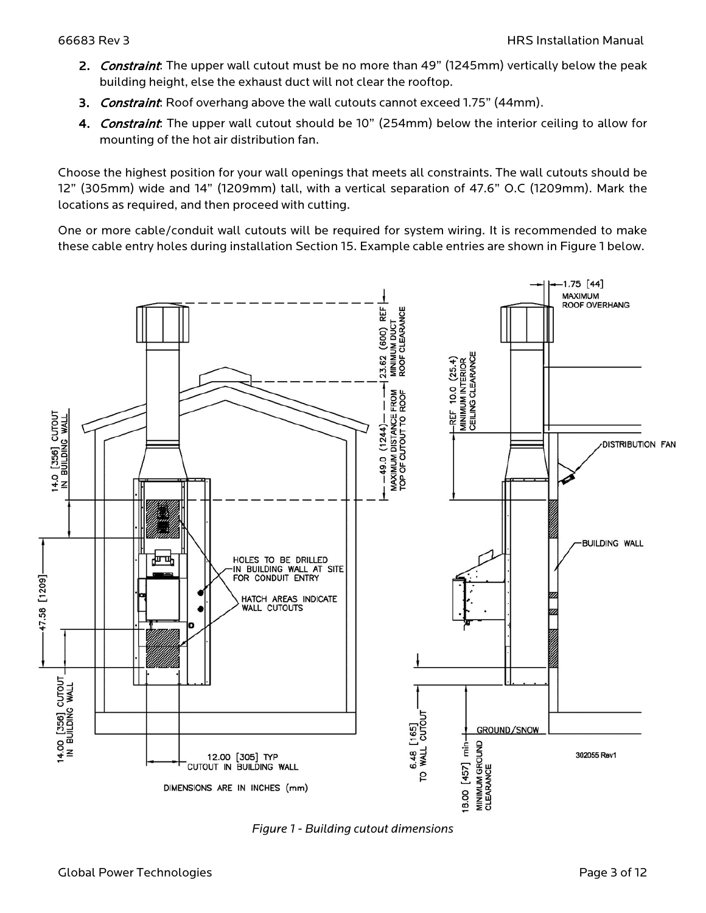- 2. Constraint: The upper wall cutout must be no more than 49" (1245mm) vertically below the peak building height, else the exhaust duct will not clear the rooftop.
- 3. Constraint: Roof overhang above the wall cutouts cannot exceed 1.75" (44mm).
- 4. Constraint: The upper wall cutout should be 10" (254mm) below the interior ceiling to allow for mounting of the hot air distribution fan.

Choose the highest position for your wall openings that meets all constraints. The wall cutouts should be 12" (305mm) wide and 14" (1209mm) tall, with a vertical separation of 47.6" O.C (1209mm). Mark the locations as required, and then proceed with cutting.

One or more cable/conduit wall cutouts will be required for system wiring. It is recommended to make these cable entry holes during installation Section 15. Example cable entries are shown in [Figure 1](#page-4-0) below.



<span id="page-4-0"></span>*Figure 1 - Building cutout dimensions*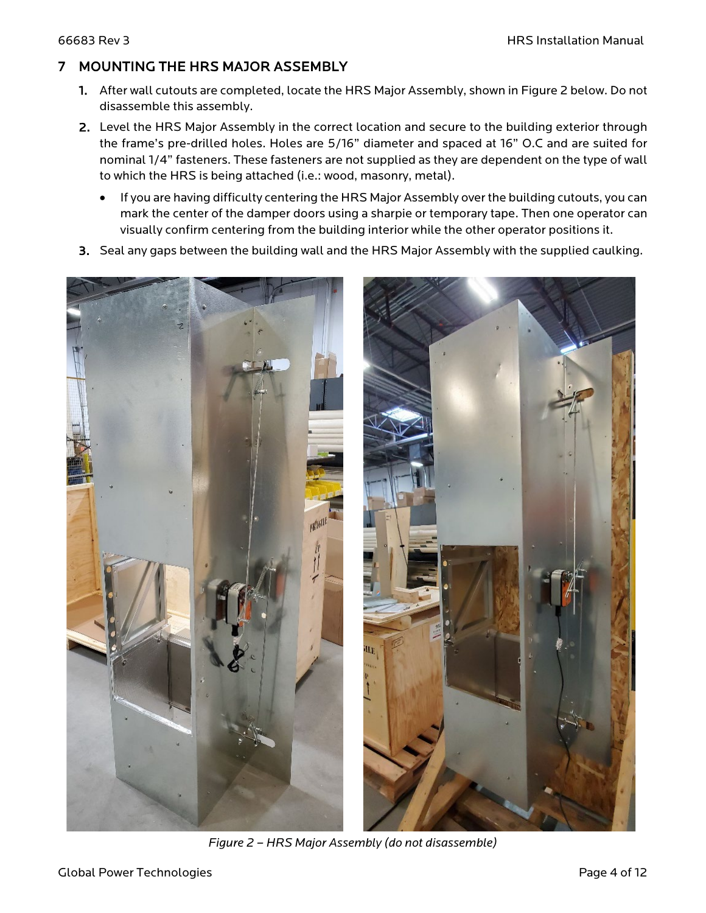# 7 MOUNTING THE HRS MAJOR ASSEMBLY

- 1. After wall cutouts are completed, locate the HRS Major Assembly, shown in [Figure 2](#page-5-0) below. Do not disassemble this assembly.
- 2. Level the HRS Major Assembly in the correct location and secure to the building exterior through the frame's pre-drilled holes. Holes are 5/16" diameter and spaced at 16" O.C and are suited for nominal 1/4" fasteners. These fasteners are not supplied as they are dependent on the type of wall to which the HRS is being attached (i.e.: wood, masonry, metal).
	- If you are having difficulty centering the HRS Major Assembly over the building cutouts, you can mark the center of the damper doors using a sharpie or temporary tape. Then one operator can visually confirm centering from the building interior while the other operator positions it.
- 3. Seal any gaps between the building wall and the HRS Major Assembly with the supplied caulking.

<span id="page-5-0"></span>

*Figure 2 – HRS Major Assembly (do not disassemble)*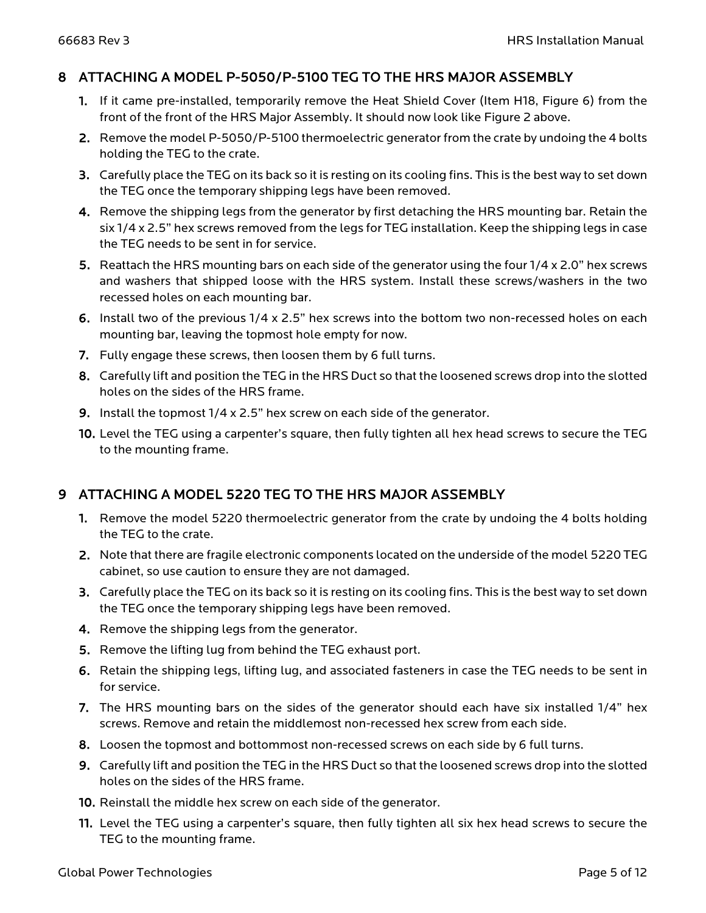#### 8 ATTACHING A MODEL P-5050/P-5100 TEG TO THE HRS MAJOR ASSEMBLY

- 1. If it came pre-installed, temporarily remove the Heat Shield Cover (Item H18, [Figure 6\)](#page-12-0) from the front of the front of the HRS Major Assembly. It should now look like [Figure 2](#page-5-0) above.
- 2. Remove the model P-5050/P-5100 thermoelectric generator from the crate by undoing the 4 bolts holding the TEG to the crate.
- 3. Carefully place the TEG on its back so it is resting on its cooling fins. This is the best way to set down the TEG once the temporary shipping legs have been removed.
- 4. Remove the shipping legs from the generator by first detaching the HRS mounting bar. Retain the six 1/4 x 2.5" hex screws removed from the legs for TEG installation. Keep the shipping legs in case the TEG needs to be sent in for service.
- 5. Reattach the HRS mounting bars on each side of the generator using the four 1/4 x 2.0" hex screws and washers that shipped loose with the HRS system. Install these screws/washers in the two recessed holes on each mounting bar.
- 6. Install two of the previous 1/4 x 2.5" hex screws into the bottom two non-recessed holes on each mounting bar, leaving the topmost hole empty for now.
- 7. Fully engage these screws, then loosen them by 6 full turns.
- 8. Carefully lift and position the TEG in the HRS Duct so that the loosened screws drop into the slotted holes on the sides of the HRS frame.
- 9. Install the topmost 1/4 x 2.5" hex screw on each side of the generator.
- 10. Level the TEG using a carpenter's square, then fully tighten all hex head screws to secure the TEG to the mounting frame.

### 9 ATTACHING A MODEL 5220 TEG TO THE HRS MAJOR ASSEMBLY

- 1. Remove the model 5220 thermoelectric generator from the crate by undoing the 4 bolts holding the TEG to the crate.
- 2. Note that there are fragile electronic components located on the underside of the model 5220 TEG cabinet, so use caution to ensure they are not damaged.
- 3. Carefully place the TEG on its back so it is resting on its cooling fins. This is the best way to set down the TEG once the temporary shipping legs have been removed.
- 4. Remove the shipping legs from the generator.
- 5. Remove the lifting lug from behind the TEG exhaust port.
- 6. Retain the shipping legs, lifting lug, and associated fasteners in case the TEG needs to be sent in for service.
- 7. The HRS mounting bars on the sides of the generator should each have six installed 1/4" hex screws. Remove and retain the middlemost non-recessed hex screw from each side.
- 8. Loosen the topmost and bottommost non-recessed screws on each side by 6 full turns.
- 9. Carefully lift and position the TEG in the HRS Duct so that the loosened screws drop into the slotted holes on the sides of the HRS frame.
- 10. Reinstall the middle hex screw on each side of the generator.
- 11. Level the TEG using a carpenter's square, then fully tighten all six hex head screws to secure the TEG to the mounting frame.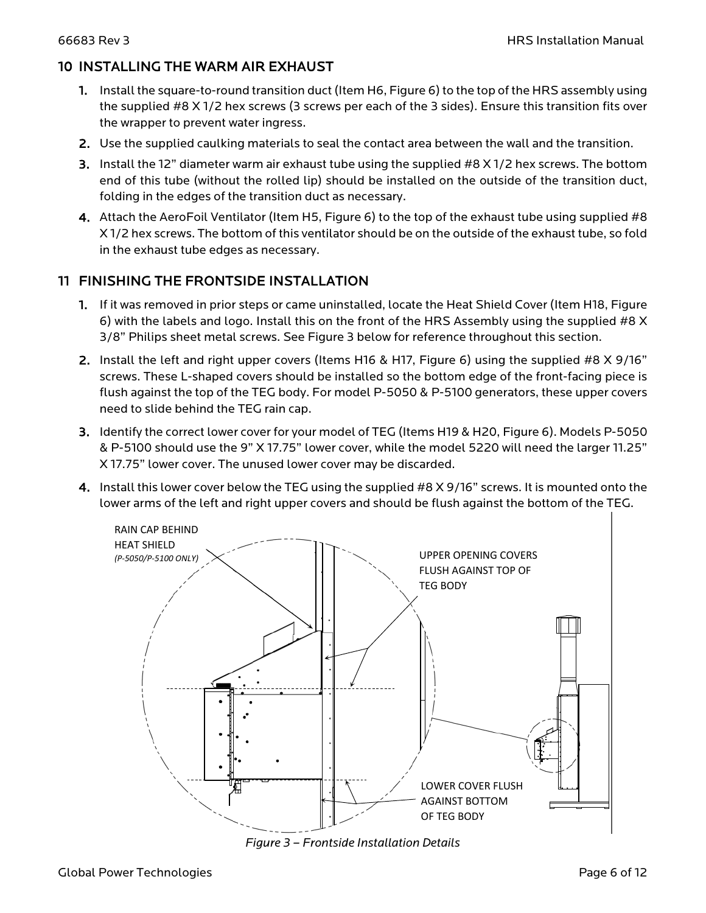#### 10 INSTALLING THE WARM AIR EXHAUST

- 1. Install the square-to-round transition duct (Item H6, [Figure 6\)](#page-12-0) to the top of the HRS assembly using the supplied #8 X 1/2 hex screws (3 screws per each of the 3 sides). Ensure this transition fits over the wrapper to prevent water ingress.
- 2. Use the supplied caulking materials to seal the contact area between the wall and the transition.
- 3. Install the 12" diameter warm air exhaust tube using the supplied #8 X 1/2 hex screws. The bottom end of this tube (without the rolled lip) should be installed on the outside of the transition duct, folding in the edges of the transition duct as necessary.
- 4. Attach the AeroFoil Ventilator (Item H5[, Figure 6\)](#page-12-0) to the top of the exhaust tube using supplied #8 X 1/2 hex screws. The bottom of this ventilator should be on the outside of the exhaust tube, so fold in the exhaust tube edges as necessary.

#### 11 FINISHING THE FRONTSIDE INSTALLATION

- 1. If it was removed in prior steps or came uninstalled, locate the Heat Shield Cover (Item H18, [Figure](#page-12-0)  [6\)](#page-12-0) with the labels and logo. Install this on the front of the HRS Assembly using the supplied #8 X 3/8" Philips sheet metal screws. See [Figure 3](#page-7-0) below for reference throughout this section.
- 2. Install the left and right upper covers (Items H16 & H17, [Figure 6\)](#page-12-0) using the supplied #8 X 9/16" screws. These L-shaped covers should be installed so the bottom edge of the front-facing piece is flush against the top of the TEG body. For model P-5050 & P-5100 generators, these upper covers need to slide behind the TEG rain cap.
- 3. Identify the correct lower cover for your model of TEG (Items H19 & H20, [Figure](#page-12-0) 6). Models P-5050 & P-5100 should use the 9" X 17.75" lower cover, while the model 5220 will need the larger 11.25" X 17.75" lower cover. The unused lower cover may be discarded.
- 4. Install this lower cover below the TEG using the supplied #8 X 9/16" screws. It is mounted onto the lower arms of the left and right upper covers and should be flush against the bottom of the TEG.



<span id="page-7-0"></span>*Figure 3 – Frontside Installation Details*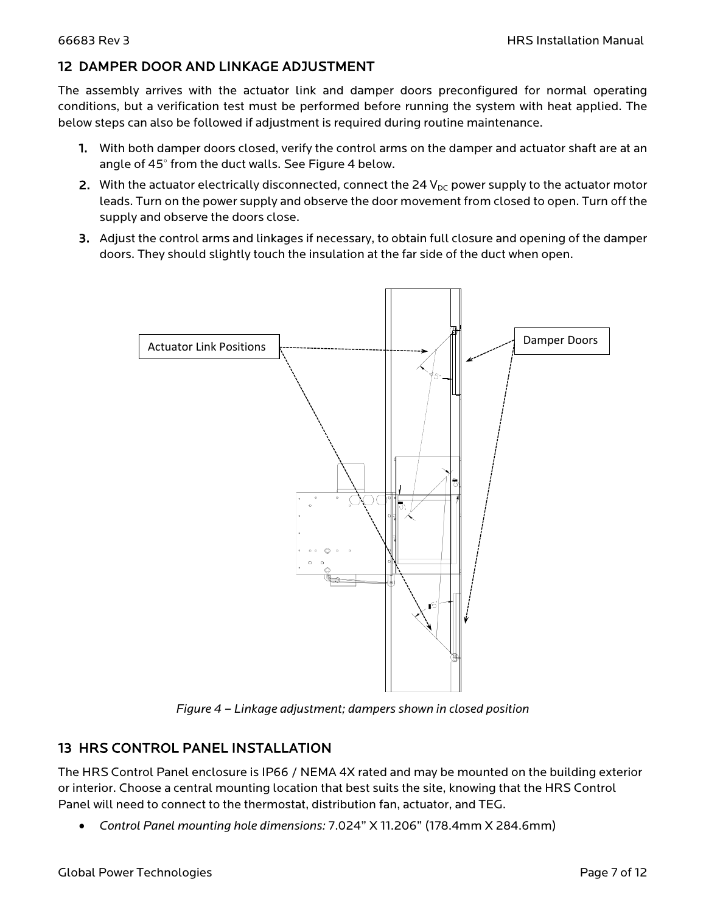#### 12 DAMPER DOOR AND LINKAGE ADJUSTMENT

The assembly arrives with the actuator link and damper doors preconfigured for normal operating conditions, but a verification test must be performed before running the system with heat applied. The below steps can also be followed if adjustment is required during routine maintenance.

- 1. With both damper doors closed, verify the control arms on the damper and actuator shaft are at an angle of 45° from the duct walls. See Figure 4 below.
- 2. With the actuator electrically disconnected, connect the 24  $V_{DC}$  power supply to the actuator motor leads. Turn on the power supply and observe the door movement from closed to open. Turn off the supply and observe the doors close.
- 3. Adjust the control arms and linkages if necessary, to obtain full closure and opening of the damper doors. They should slightly touch the insulation at the far side of the duct when open.



*Figure 4 – Linkage adjustment; dampers shown in closed position*

### 13 HRS CONTROL PANEL INSTALLATION

The HRS Control Panel enclosure is IP66 / NEMA 4X rated and may be mounted on the building exterior or interior. Choose a central mounting location that best suits the site, knowing that the HRS Control Panel will need to connect to the thermostat, distribution fan, actuator, and TEG.

• *Control Panel mounting hole dimensions:* 7.024" X 11.206" (178.4mm X 284.6mm)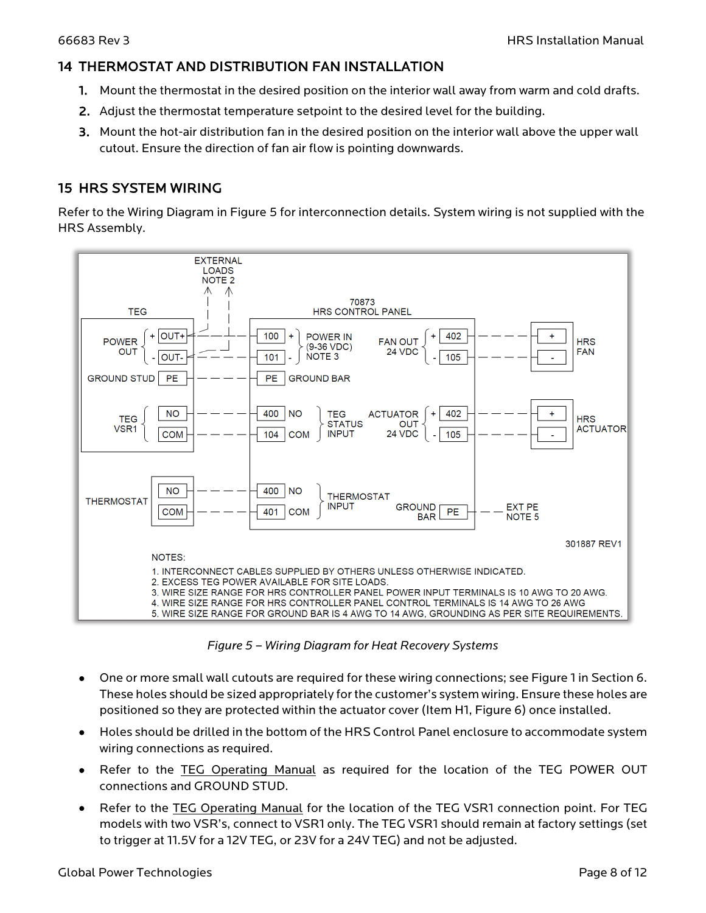#### 14 THERMOSTAT AND DISTRIBUTION FAN INSTALLATION

- 1. Mount the thermostat in the desired position on the interior wall away from warm and cold drafts.
- 2. Adjust the thermostat temperature setpoint to the desired level for the building.
- 3. Mount the hot-air distribution fan in the desired position on the interior wall above the upper wall cutout. Ensure the direction of fan air flow is pointing downwards.

#### 15 HRS SYSTEM WIRING

Refer to the Wiring Diagram in Figure 5 for interconnection details. System wiring is not supplied with the HRS Assembly.



*Figure 5 – Wiring Diagram for Heat Recovery Systems*

- One or more small wall cutouts are required for these wiring connections; see [Figure 1](#page-4-0) in Section 6. These holes should be sized appropriately for the customer's system wiring. Ensure these holes are positioned so they are protected within the actuator cover (Item H1, [Figure 6\)](#page-12-0) once installed.
- Holes should be drilled in the bottom of the HRS Control Panel enclosure to accommodate system wiring connections as required.
- Refer to the TEG Operating Manual as required for the location of the TEG POWER OUT connections and GROUND STUD.
- Refer to the TEG Operating Manual for the location of the TEG VSR1 connection point. For TEG models with two VSR's, connect to VSR1 only. The TEG VSR1 should remain at factory settings (set to trigger at 11.5V for a 12V TEG, or 23V for a 24V TEG) and not be adjusted.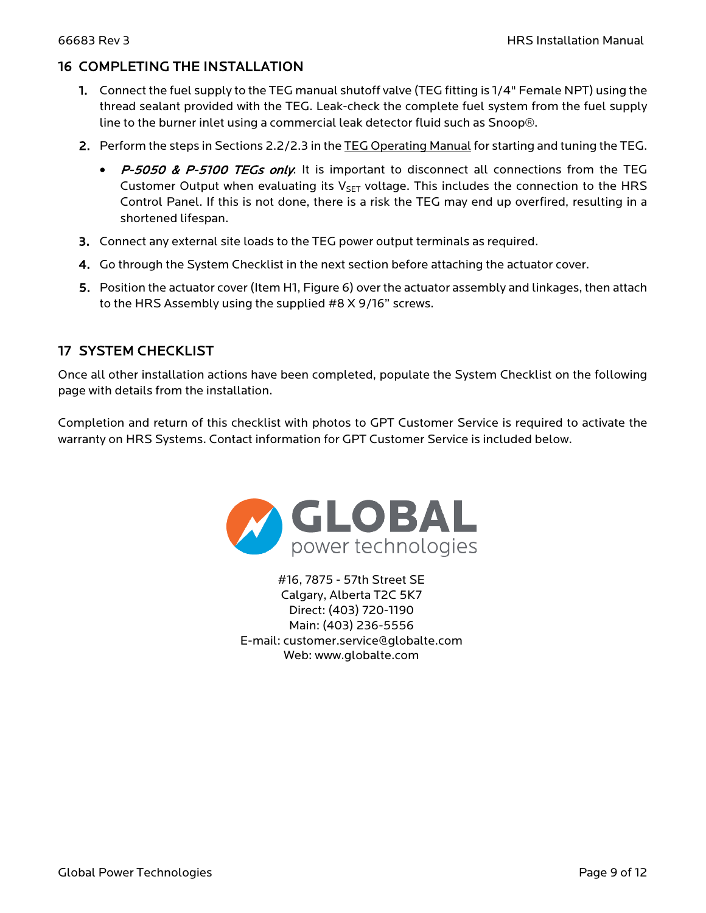#### 16 COMPLETING THE INSTALLATION

- 1. Connect the fuel supply to the TEG manual shutoff valve (TEG fitting is 1/4" Female NPT) using the thread sealant provided with the TEG. Leak-check the complete fuel system from the fuel supply line to the burner inlet using a commercial leak detector fluid such as Snoop®.
- 2. Perform the steps in Sections 2.2/2.3 in the TEG Operating Manual for starting and tuning the TEG.
	- P-5050 & P-5100 TEGs only. It is important to disconnect all connections from the TEG Customer Output when evaluating its  $V_{\text{SET}}$  voltage. This includes the connection to the HRS Control Panel. If this is not done, there is a risk the TEG may end up overfired, resulting in a shortened lifespan.
- 3. Connect any external site loads to the TEG power output terminals as required.
- 4. Go through the System Checklist in the next section before attaching the actuator cover.
- 5. Position the actuator cover (Item H1, [Figure 6\)](#page-12-0) over the actuator assembly and linkages, then attach to the HRS Assembly using the supplied #8 X 9/16" screws.

### 17 SYSTEM CHECKLIST

Once all other installation actions have been completed, populate the System Checklist on the following page with details from the installation.

Completion and return of this checklist with photos to GPT Customer Service is required to activate the warranty on HRS Systems. Contact information for GPT Customer Service is included below.



#16, 7875 - 57th Street SE Calgary, Alberta T2C 5K7 Direct: (403) 720-1190 Main: (403) 236-5556 E-mail: customer.service@globalte.com Web: www.globalte.com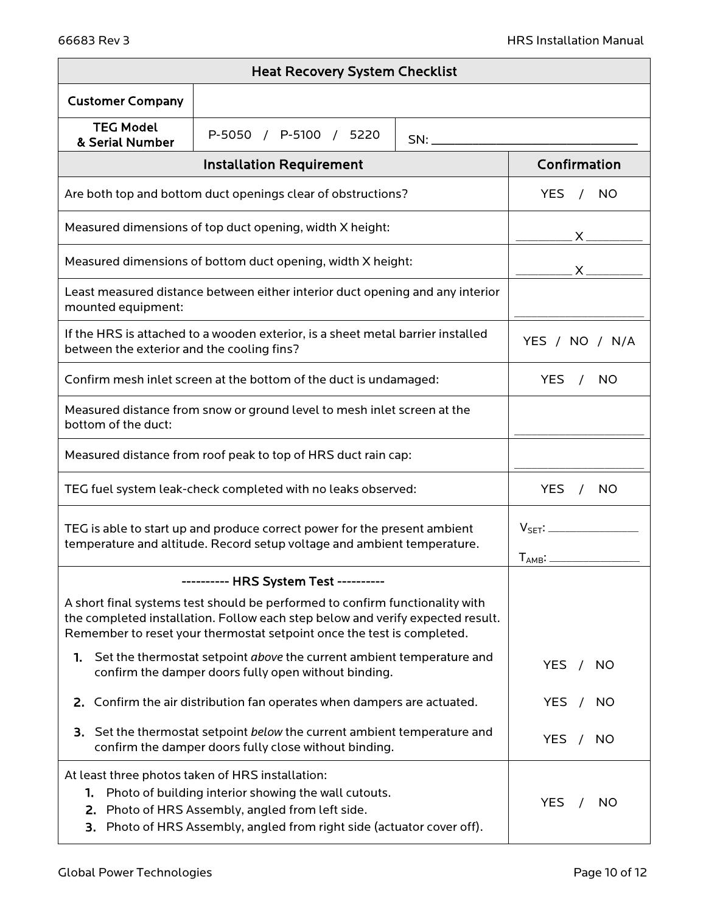| <b>Heat Recovery System Checklist</b>                                                                                                                                                                                                                          |                                                                                                                                   |                |                                     |  |  |
|----------------------------------------------------------------------------------------------------------------------------------------------------------------------------------------------------------------------------------------------------------------|-----------------------------------------------------------------------------------------------------------------------------------|----------------|-------------------------------------|--|--|
| <b>Customer Company</b>                                                                                                                                                                                                                                        |                                                                                                                                   |                |                                     |  |  |
| <b>TEG Model</b><br>& Serial Number                                                                                                                                                                                                                            | P-5050 / P-5100 / 5220                                                                                                            | SN:            |                                     |  |  |
|                                                                                                                                                                                                                                                                | <b>Installation Requirement</b>                                                                                                   |                | Confirmation                        |  |  |
| Are both top and bottom duct openings clear of obstructions?                                                                                                                                                                                                   | YES.<br>NO.                                                                                                                       |                |                                     |  |  |
| Measured dimensions of top duct opening, width X height:                                                                                                                                                                                                       |                                                                                                                                   |                |                                     |  |  |
| Measured dimensions of bottom duct opening, width X height:                                                                                                                                                                                                    |                                                                                                                                   |                |                                     |  |  |
| Least measured distance between either interior duct opening and any interior<br>mounted equipment:                                                                                                                                                            |                                                                                                                                   |                |                                     |  |  |
| If the HRS is attached to a wooden exterior, is a sheet metal barrier installed<br>between the exterior and the cooling fins?                                                                                                                                  |                                                                                                                                   | YES / NO / N/A |                                     |  |  |
| Confirm mesh inlet screen at the bottom of the duct is undamaged:                                                                                                                                                                                              | <b>YES</b><br>NO.<br>$\sqrt{ }$                                                                                                   |                |                                     |  |  |
| Measured distance from snow or ground level to mesh inlet screen at the<br>bottom of the duct:                                                                                                                                                                 |                                                                                                                                   |                |                                     |  |  |
| Measured distance from roof peak to top of HRS duct rain cap:                                                                                                                                                                                                  |                                                                                                                                   |                |                                     |  |  |
| TEG fuel system leak-check completed with no leaks observed:                                                                                                                                                                                                   | <b>YES</b><br><b>NO</b><br>$\sqrt{ }$                                                                                             |                |                                     |  |  |
| TEG is able to start up and produce correct power for the present ambient<br>temperature and altitude. Record setup voltage and ambient temperature.                                                                                                           | $V_{\mathsf{SET}}$ :<br>$T_{AMB}$ :                                                                                               |                |                                     |  |  |
|                                                                                                                                                                                                                                                                | ---------- HRS System Test ----------                                                                                             |                |                                     |  |  |
| A short final systems test should be performed to confirm functionality with<br>the completed installation. Follow each step below and verify expected result.<br>Remember to reset your thermostat setpoint once the test is completed.                       |                                                                                                                                   |                |                                     |  |  |
| 1.                                                                                                                                                                                                                                                             | Set the thermostat setpoint above the current ambient temperature and<br>confirm the damper doors fully open without binding.     |                | <b>YES</b><br><b>NO</b><br>$\prime$ |  |  |
|                                                                                                                                                                                                                                                                | 2. Confirm the air distribution fan operates when dampers are actuated.                                                           |                | <b>YES</b><br>NO.                   |  |  |
|                                                                                                                                                                                                                                                                | 3. Set the thermostat setpoint below the current ambient temperature and<br>confirm the damper doors fully close without binding. |                | <b>YES</b><br><b>NO</b>             |  |  |
| At least three photos taken of HRS installation:<br>1. Photo of building interior showing the wall cutouts.<br><b>YES</b><br>NO.<br>2. Photo of HRS Assembly, angled from left side.<br>3. Photo of HRS Assembly, angled from right side (actuator cover off). |                                                                                                                                   |                |                                     |  |  |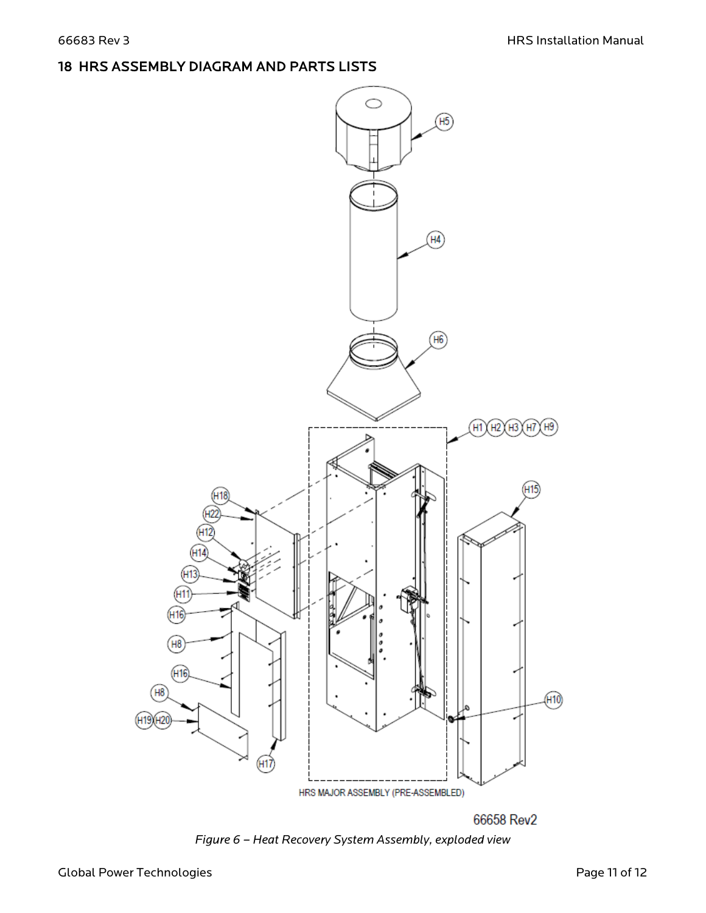# 18 HRS ASSEMBLY DIAGRAM AND PARTS LISTS



<span id="page-12-0"></span>*Figure 6 – Heat Recovery System Assembly, exploded view*